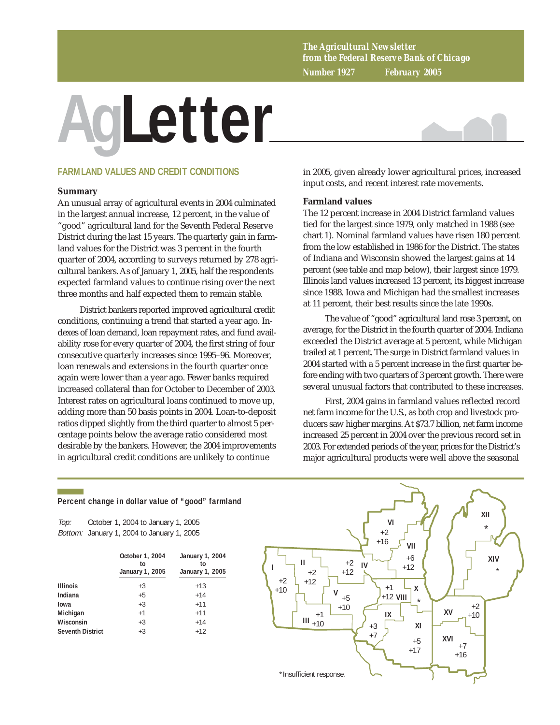*The Agricultural Newsletter from the Federal Reserve Bank of Chicago Number 1927 February 2005*

# **AgLetter**



## **FARMLAND VALUES AND CREDIT CONDITIONS**

#### **Summary**

An unusual array of agricultural events in 2004 culminated in the largest annual increase, 12 percent, in the value of "good" agricultural land for the Seventh Federal Reserve District during the last 15 years. The quarterly gain in farmland values for the District was 3 percent in the fourth quarter of 2004, according to surveys returned by 278 agricultural bankers. As of January 1, 2005, half the respondents expected farmland values to continue rising over the next three months and half expected them to remain stable.

District bankers reported improved agricultural credit conditions, continuing a trend that started a year ago. Indexes of loan demand, loan repayment rates, and fund availability rose for every quarter of 2004, the first string of four consecutive quarterly increases since 1995–96. Moreover, loan renewals and extensions in the fourth quarter once again were lower than a year ago. Fewer banks required increased collateral than for October to December of 2003. Interest rates on agricultural loans continued to move up, adding more than 50 basis points in 2004. Loan-to-deposit ratios dipped slightly from the third quarter to almost 5 percentage points below the average ratio considered most desirable by the bankers. However, the 2004 improvements in agricultural credit conditions are unlikely to continue

in 2005, given already lower agricultural prices, increased input costs, and recent interest rate movements.

#### **Farmland values**

The 12 percent increase in 2004 District farmland values tied for the largest since 1979, only matched in 1988 (see chart 1). Nominal farmland values have risen 180 percent from the low established in 1986 for the District. The states of Indiana and Wisconsin showed the largest gains at 14 percent (see table and map below), their largest since 1979. Illinois land values increased 13 percent, its biggest increase since 1988. Iowa and Michigan had the smallest increases at 11 percent, their best results since the late 1990s.

The value of "good" agricultural land rose 3 percent, on average, for the District in the fourth quarter of 2004. Indiana exceeded the District average at 5 percent, while Michigan trailed at 1 percent. The surge in District farmland values in 2004 started with a 5 percent increase in the first quarter before ending with two quarters of 3 percent growth. There were several unusual factors that contributed to these increases.

First, 2004 gains in farmland values reflected record net farm income for the U.S., as both crop and livestock producers saw higher margins. At \$73.7 billion, net farm income increased 25 percent in 2004 over the previous record set in 2003. For extended periods of the year, prices for the District's major agricultural products were well above the seasonal

#### **Percent change in dollar value of "good" farmland**

Top: Bottom: January 1, 2004 to January 1, 2005 October 1, 2004 to January 1, 2005

|                         | October 1, 2004<br>to<br>January 1, 2005 | January 1, 2004<br>t٥<br>January 1, 2005 |  |  |
|-------------------------|------------------------------------------|------------------------------------------|--|--|
| <b>Illinois</b>         | $+3$                                     | $+13$                                    |  |  |
| Indiana                 | $+5$                                     | $+14$                                    |  |  |
| Iowa                    | $+3$                                     | $+11$                                    |  |  |
| Michigan                | $+1$                                     | $+11$                                    |  |  |
| Wisconsin               | $+3$                                     | $+14$                                    |  |  |
| <b>Seventh District</b> | $+3$                                     | $+12$                                    |  |  |

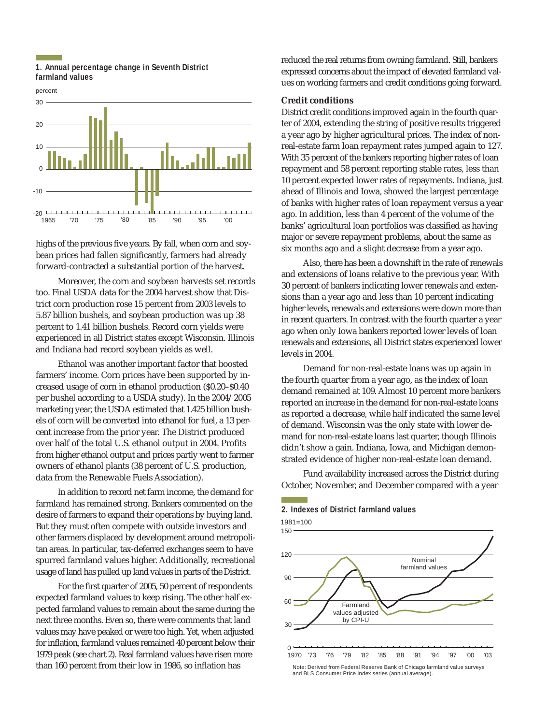## **1. Annual percentage change in Seventh District farmland values**



highs of the previous five years. By fall, when corn and soybean prices had fallen significantly, farmers had already forward-contracted a substantial portion of the harvest.

Moreover, the corn and soybean harvests set records too. Final USDA data for the 2004 harvest show that District corn production rose 15 percent from 2003 levels to 5.87 billion bushels, and soybean production was up 38 percent to 1.41 billion bushels. Record corn yields were experienced in all District states except Wisconsin. Illinois and Indiana had record soybean yields as well.

Ethanol was another important factor that boosted farmers' income. Corn prices have been supported by increased usage of corn in ethanol production (\$0.20–\$0.40 per bushel according to a USDA study). In the 2004/2005 marketing year, the USDA estimated that 1.425 billion bushels of corn will be converted into ethanol for fuel, a 13 percent increase from the prior year. The District produced over half of the total U.S. ethanol output in 2004. Profits from higher ethanol output and prices partly went to farmer owners of ethanol plants (38 percent of U.S. production, data from the Renewable Fuels Association).

In addition to record net farm income, the demand for farmland has remained strong. Bankers commented on the desire of farmers to expand their operations by buying land. But they must often compete with outside investors and other farmers displaced by development around metropolitan areas. In particular, tax-deferred exchanges seem to have spurred farmland values higher. Additionally, recreational usage of land has pulled up land values in parts of the District.

For the first quarter of 2005, 50 percent of respondents expected farmland values to keep rising. The other half expected farmland values to remain about the same during the next three months. Even so, there were comments that land values may have peaked or were too high. Yet, when adjusted for inflation, farmland values remained 40 percent below their 1979 peak (see chart 2). Real farmland values have risen more than 160 percent from their low in 1986, so inflation has

reduced the real returns from owning farmland. Still, bankers expressed concerns about the impact of elevated farmland values on working farmers and credit conditions going forward.

#### **Credit conditions**

District credit conditions improved again in the fourth quarter of 2004, extending the string of positive results triggered a year ago by higher agricultural prices. The index of nonreal-estate farm loan repayment rates jumped again to 127. With 35 percent of the bankers reporting higher rates of loan repayment and 58 percent reporting stable rates, less than 10 percent expected lower rates of repayments. Indiana, just ahead of Illinois and Iowa, showed the largest percentage of banks with higher rates of loan repayment versus a year ago. In addition, less than 4 percent of the volume of the banks' agricultural loan portfolios was classified as having major or severe repayment problems, about the same as six months ago and a slight decrease from a year ago.

Also, there has been a downshift in the rate of renewals and extensions of loans relative to the previous year. With 30 percent of bankers indicating lower renewals and extensions than a year ago and less than 10 percent indicating higher levels, renewals and extensions were down more than in recent quarters. In contrast with the fourth quarter a year ago when only Iowa bankers reported lower levels of loan renewals and extensions, all District states experienced lower levels in 2004.

Demand for non-real-estate loans was up again in the fourth quarter from a year ago, as the index of loan demand remained at 109. Almost 10 percent more bankers reported an increase in the demand for non-real-estate loans as reported a decrease, while half indicated the same level of demand. Wisconsin was the only state with lower demand for non-real-estate loans last quarter, though Illinois didn't show a gain. Indiana, Iowa, and Michigan demonstrated evidence of higher non-real-estate loan demand.

Fund availability increased across the District during October, November, and December compared with a year

#### **2. Indexes of District farmland values**

1981=100



and BLS Consumer Price Index series (annual average).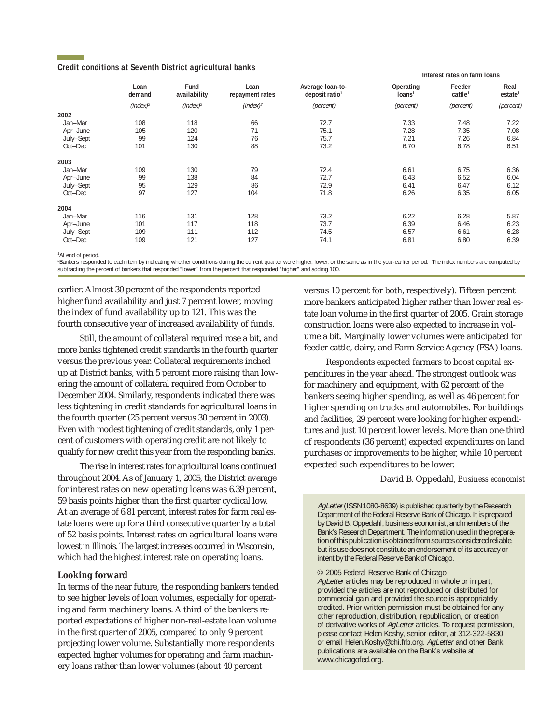#### **Credit conditions at Seventh District agricultural banks**

|           | Loan<br>demand | Fund<br>availability | Loan<br>repayment rates | Average Ioan-to-<br>deposit ratio <sup>1</sup> | Interest rates on farm loans    |                               |                             |
|-----------|----------------|----------------------|-------------------------|------------------------------------------------|---------------------------------|-------------------------------|-----------------------------|
|           |                |                      |                         |                                                | Operating<br>Ioans <sup>1</sup> | Feeder<br>cattle <sup>1</sup> | Real<br>estate <sup>1</sup> |
|           | $(index)^2$    | (index) <sup>2</sup> | (index) <sup>2</sup>    | (percent)                                      | (percent)                       | (percent)                     | (percent)                   |
| 2002      |                |                      |                         |                                                |                                 |                               |                             |
| Jan-Mar   | 108            | 118                  | 66                      | 72.7                                           | 7.33                            | 7.48                          | 7.22                        |
| Apr-June  | 105            | 120                  | 71                      | 75.1                                           | 7.28                            | 7.35                          | 7.08                        |
| July-Sept | 99             | 124                  | 76                      | 75.7                                           | 7.21                            | 7.26                          | 6.84                        |
| Oct-Dec   | 101            | 130                  | 88                      | 73.2                                           | 6.70                            | 6.78                          | 6.51                        |
| 2003      |                |                      |                         |                                                |                                 |                               |                             |
| Jan-Mar   | 109            | 130                  | 79                      | 72.4                                           | 6.61                            | 6.75                          | 6.36                        |
| Apr-June  | 99             | 138                  | 84                      | 72.7                                           | 6.43                            | 6.52                          | 6.04                        |
| July-Sept | 95             | 129                  | 86                      | 72.9                                           | 6.41                            | 6.47                          | 6.12                        |
| Oct-Dec   | 97             | 127                  | 104                     | 71.8                                           | 6.26                            | 6.35                          | 6.05                        |
| 2004      |                |                      |                         |                                                |                                 |                               |                             |
| Jan-Mar   | 116            | 131                  | 128                     | 73.2                                           | 6.22                            | 6.28                          | 5.87                        |
| Apr-June  | 101            | 117                  | 118                     | 73.7                                           | 6.39                            | 6.46                          | 6.23                        |
| July-Sept | 109            | 111                  | 112                     | 74.5                                           | 6.57                            | 6.61                          | 6.28                        |
| Oct-Dec   | 109            | 121                  | 127                     | 74.1                                           | 6.81                            | 6.80                          | 6.39                        |

<sup>1</sup>At end of period.

2 Bankers responded to each item by indicating whether conditions during the current quarter were higher, lower, or the same as in the year-earlier period. The index numbers are computed by subtracting the percent of bankers that responded "lower" from the percent that responded "higher" and adding 100.

earlier. Almost 30 percent of the respondents reported higher fund availability and just 7 percent lower, moving the index of fund availability up to 121. This was the fourth consecutive year of increased availability of funds.

Still, the amount of collateral required rose a bit, and more banks tightened credit standards in the fourth quarter versus the previous year. Collateral requirements inched up at District banks, with 5 percent more raising than lowering the amount of collateral required from October to December 2004. Similarly, respondents indicated there was less tightening in credit standards for agricultural loans in the fourth quarter (25 percent versus 30 percent in 2003). Even with modest tightening of credit standards, only 1 percent of customers with operating credit are not likely to qualify for new credit this year from the responding banks.

The rise in interest rates for agricultural loans continued throughout 2004. As of January 1, 2005, the District average for interest rates on new operating loans was 6.39 percent, 59 basis points higher than the first quarter cyclical low. At an average of 6.81 percent, interest rates for farm real estate loans were up for a third consecutive quarter by a total of 52 basis points. Interest rates on agricultural loans were lowest in Illinois. The largest increases occurred in Wisconsin, which had the highest interest rate on operating loans.

#### **Looking forward**

In terms of the near future, the responding bankers tended to see higher levels of loan volumes, especially for operating and farm machinery loans. A third of the bankers reported expectations of higher non-real-estate loan volume in the first quarter of 2005, compared to only 9 percent projecting lower volume. Substantially more respondents expected higher volumes for operating and farm machinery loans rather than lower volumes (about 40 percent

versus 10 percent for both, respectively). Fifteen percent more bankers anticipated higher rather than lower real estate loan volume in the first quarter of 2005. Grain storage construction loans were also expected to increase in volume a bit. Marginally lower volumes were anticipated for feeder cattle, dairy, and Farm Service Agency (FSA) loans.

Respondents expected farmers to boost capital expenditures in the year ahead. The strongest outlook was for machinery and equipment, with 62 percent of the bankers seeing higher spending, as well as 46 percent for higher spending on trucks and automobiles. For buildings and facilities, 29 percent were looking for higher expenditures and just 10 percent lower levels. More than one-third of respondents (36 percent) expected expenditures on land purchases or improvements to be higher, while 10 percent expected such expenditures to be lower.

David B. Oppedahl, *Business economist*

AgLetter (ISSN 1080-8639) is published quarterly by the Research Department of the Federal Reserve Bank of Chicago. It is prepared by David B. Oppedahl, business economist, and members of the Bank's Research Department. The information used in the preparation of this publication is obtained from sources considered reliable, but its use does not constitute an endorsement of its accuracy or intent by the Federal Reserve Bank of Chicago.

© 2005 Federal Reserve Bank of Chicago AgLetter articles may be reproduced in whole or in part, provided the articles are not reproduced or distributed for commercial gain and provided the source is appropriately credited. Prior written permission must be obtained for any other reproduction, distribution, republication, or creation of derivative works of AgLetter articles. To request permission, please contact Helen Koshy, senior editor, at 312-322-5830 or email Helen.Koshy@chi.frb.org. AgLetter and other Bank publications are available on the Bank's website at www.chicagofed.org.